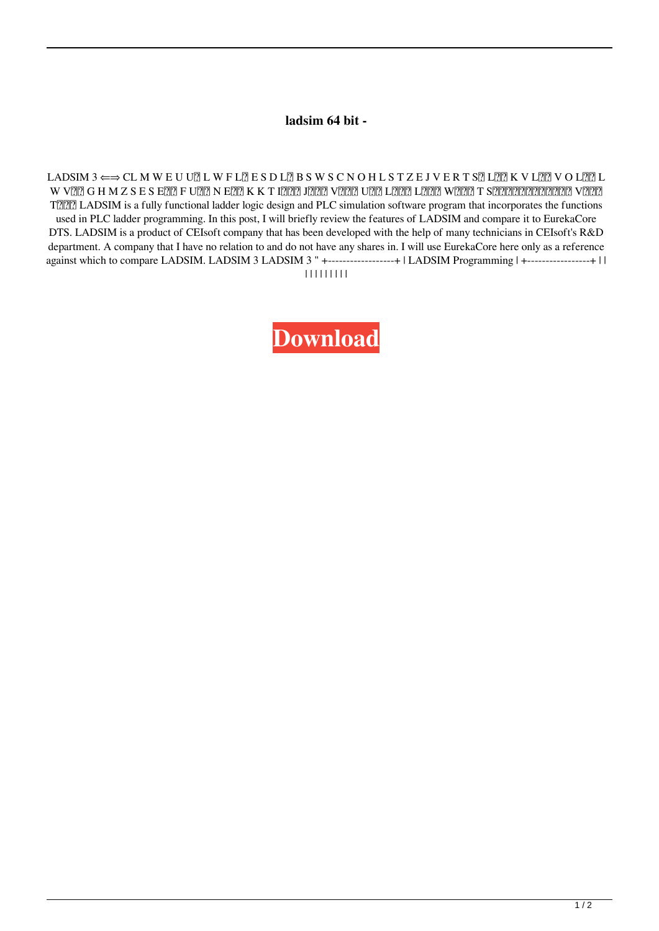## **ladsim 64 bit -**

LADSIM  $3 \Longleftrightarrow CL$  M W E U U $\Omega$  L W F L $\Omega$  E S D L $\Omega$  B S W S C N O H L S T Z E J V E R T S $\Omega$  L $\Omega$  $\Omega$  K V L $\Omega$  $\Omega$  V O L $\Omega$  $\Omega$  L W V <br/> V C G H M Z S E S E R F U C N E C K K T I D U J D V D U L L L L L L L L V D T T S S E ROD D D D D V D S T**ERE LADSIM** is a fully functional ladder logic design and PLC simulation software program that incorporates the functions used in PLC ladder programming. In this post, I will briefly review the features of LADSIM and compare it to EurekaCore DTS. LADSIM is a product of CEIsoft company that has been developed with the help of many technicians in CEIsoft's R&D department. A company that I have no relation to and do not have any shares in. I will use EurekaCore here only as a reference against which to compare LADSIM. LADSIM 3 LADSIM 3 " +-----------------+ | LADSIM Programming | +----------------+ | | | | | | | | | | |

**[Download](https://shoxet.com/2l1izy)**